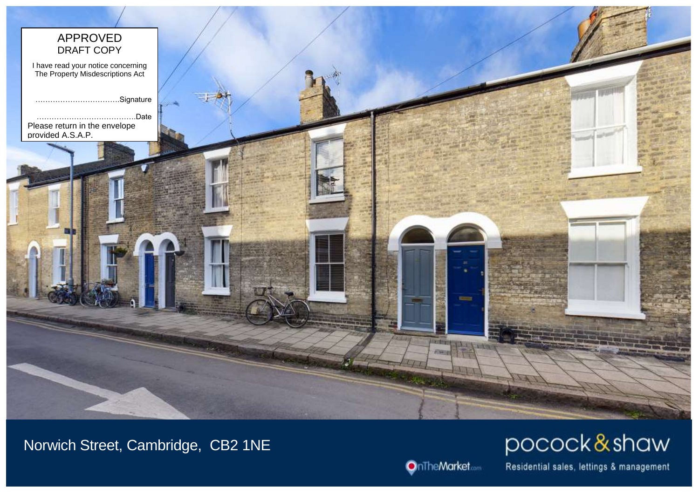

Norwich Street, Cambridge, CB2 1NE



pocock&shaw

Residential sales, lettings & management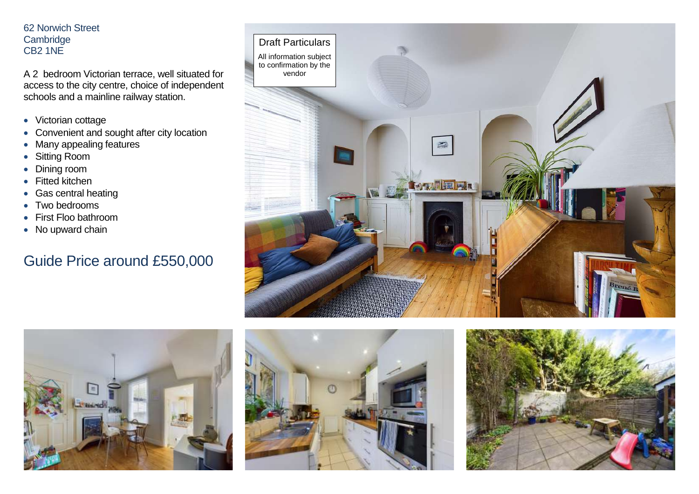## 62 Norwich Street **Cambridge** CB2 1NE

A 2 bedroom Victorian terrace, well situated for access to the city centre, choice of independent schools and a mainline railway station.

- Victorian cottage
- Convenient and sought after city location
- Many appealing features
- Sitting Room
- Dining room
- Fitted kitchen
- Gas central heating
- Two bedrooms
- First Floo bathroom
- No upward chain

## Guide Price around £550,000







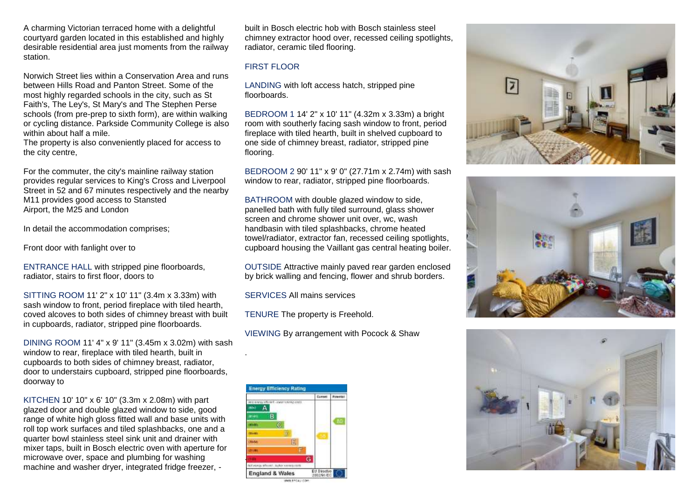A charming Victorian terraced home with a delightful courtyard garden located in this established and highly desirable residential area just moments from the railway station.

Norwich Street lies within a Conservation Area and runs between Hills Road and Panton Street. Some of the most highly regarded schools in the city, such as St Faith's, The Ley's, St Mary's and The Stephen Perse schools (from pre-prep to sixth form), are within walking or cycling distance. Parkside Community College is also within about half a mile.

The property is also conveniently placed for access to the city centre,

For the commuter, the city's mainline railway station provides regular services to King's Cross and Liverpool Street in 52 and 67 minutes respectively and the nearby M11 provides good access to Stansted Airport, the M25 and London

In detail the accommodation comprises;

Front door with fanlight over to

ENTRANCE HALL with stripped pine floorboards, radiator, stairs to first floor, doors to

SITTING ROOM 11' 2" x 10' 11" (3.4m x 3.33m) with sash window to front, period fireplace with tiled hearth, coved alcoves to both sides of chimney breast with built in cupboards, radiator, stripped pine floorboards.

DINING ROOM 11' 4" x 9' 11" (3.45m x 3.02m) with sash window to rear, fireplace with tiled hearth, built in cupboards to both sides of chimney breast, radiator, door to understairs cupboard, stripped pine floorboards, doorway to

KITCHEN 10' 10" x 6' 10" (3.3m x 2.08m) with part glazed door and double glazed window to side, good range of white high gloss fitted wall and base units with roll top work surfaces and tiled splashbacks, one and a quarter bowl stainless steel sink unit and drainer with mixer taps, built in Bosch electric oven with aperture for microwave over, space and plumbing for washing machine and washer dryer, integrated fridge freezer, -

built in Bosch electric hob with Bosch stainless steel chimney extractor hood over, recessed ceiling spotlights, radiator, ceramic tiled flooring.

## FIRST FLOOR

LANDING with loft access hatch, stripped pine floorboards.

BEDROOM 1 14' 2" x 10' 11" (4.32m x 3.33m) a bright room with southerly facing sash window to front, period fireplace with tiled hearth, built in shelved cupboard to one side of chimney breast, radiator, stripped pine flooring.

BEDROOM 2 90' 11" x 9' 0" (27.71m x 2.74m) with sash window to rear, radiator, stripped pine floorboards.

BATHROOM with double glazed window to side, panelled bath with fully tiled surround, glass shower screen and chrome shower unit over, wc, wash handbasin with tiled splashbacks, chrome heated towel/radiator, extractor fan, recessed ceiling spotlights, cupboard housing the Vaillant gas central heating boiler.

OUTSIDE Attractive mainly paved rear garden enclosed by brick walling and fencing, flower and shrub borders.

SERVICES All mains services

.

TENURE The property is Freehold.

VIEWING By arrangement with Pocock & Shaw